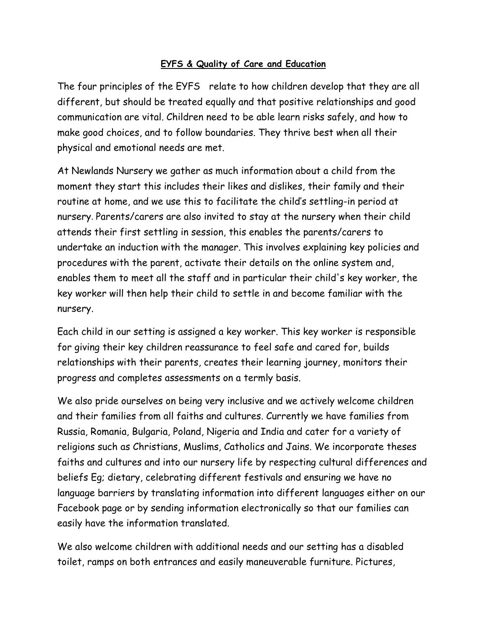## **EYFS & Quality of Care and Education**

The four principles of the EYFS relate to how children develop that they are all different, but should be treated equally and that positive relationships and good communication are vital. Children need to be able learn risks safely, and how to make good choices, and to follow boundaries. They thrive best when all their physical and emotional needs are met.

At Newlands Nursery we gather as much information about a child from the moment they start this includes their likes and dislikes, their family and their routine at home, and we use this to facilitate the child's settling-in period at nursery. Parents/carers are also invited to stay at the nursery when their child attends their first settling in session, this enables the parents/carers to undertake an induction with the manager. This involves explaining key policies and procedures with the parent, activate their details on the online system and, enables them to meet all the staff and in particular their child's key worker, the key worker will then help their child to settle in and become familiar with the nursery.

Each child in our setting is assigned a key worker. This key worker is responsible for giving their key children reassurance to feel safe and cared for, builds relationships with their parents, creates their learning journey, monitors their progress and completes assessments on a termly basis.

We also pride ourselves on being very inclusive and we actively welcome children and their families from all faiths and cultures. Currently we have families from Russia, Romania, Bulgaria, Poland, Nigeria and India and cater for a variety of religions such as Christians, Muslims, Catholics and Jains. We incorporate theses faiths and cultures and into our nursery life by respecting cultural differences and beliefs Eg; dietary, celebrating different festivals and ensuring we have no language barriers by translating information into different languages either on our Facebook page or by sending information electronically so that our families can easily have the information translated.

We also welcome children with additional needs and our setting has a disabled toilet, ramps on both entrances and easily maneuverable furniture. Pictures,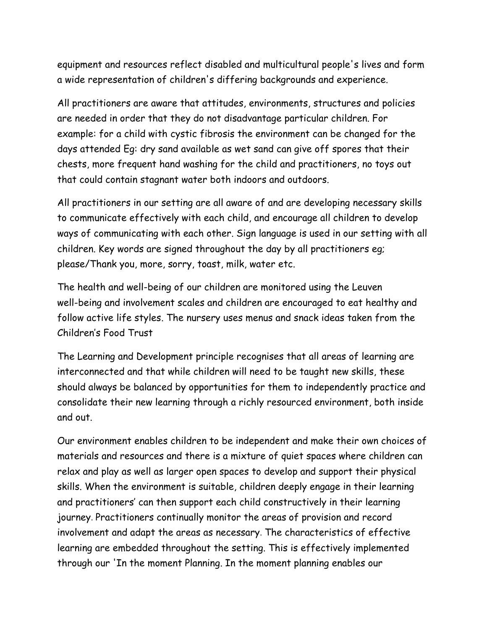equipment and resources reflect disabled and multicultural people's lives and form a wide representation of children's differing backgrounds and experience.

All practitioners are aware that attitudes, environments, structures and policies are needed in order that they do not disadvantage particular children. For example: for a child with cystic fibrosis the environment can be changed for the days attended Eg: dry sand available as wet sand can give off spores that their chests, more frequent hand washing for the child and practitioners, no toys out that could contain stagnant water both indoors and outdoors.

All practitioners in our setting are all aware of and are developing necessary skills to communicate effectively with each child, and encourage all children to develop ways of communicating with each other. Sign language is used in our setting with all children. Key words are signed throughout the day by all practitioners eg; please/Thank you, more, sorry, toast, milk, water etc.

The health and well-being of our children are monitored using the Leuven well-being and involvement scales and children are encouraged to eat healthy and follow active life styles. The nursery uses menus and snack ideas taken from the Children's Food Trust

The Learning and Development principle recognises that all areas of learning are interconnected and that while children will need to be taught new skills, these should always be balanced by opportunities for them to independently practice and consolidate their new learning through a richly resourced environment, both inside and out.

Our environment enables children to be independent and make their own choices of materials and resources and there is a mixture of quiet spaces where children can relax and play as well as larger open spaces to develop and support their physical skills. When the environment is suitable, children deeply engage in their learning and practitioners' can then support each child constructively in their learning journey. Practitioners continually monitor the areas of provision and record involvement and adapt the areas as necessary. The characteristics of effective learning are embedded throughout the setting. This is effectively implemented through our 'In the moment Planning. In the moment planning enables our